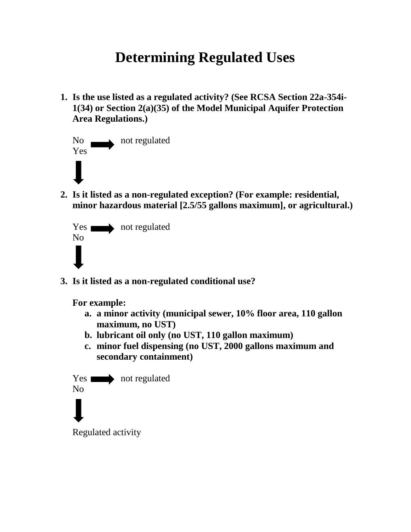## **Determining Regulated Uses**

**1. Is the use listed as a regulated activity? (See RCSA Section 22a-354i-1(34) or Section 2(a)(35) of the Model Municipal Aquifer Protection Area Regulations.)**



**2. Is it listed as a non-regulated exception? (For example: residential, minor hazardous material [2.5/55 gallons maximum], or agricultural.)**



**3. Is it listed as a non-regulated conditional use?** 

**For example:** 

- **a. a minor activity (municipal sewer, 10% floor area, 110 gallon maximum, no UST)**
- **b. lubricant oil only (no UST, 110 gallon maximum)**
- **c. minor fuel dispensing (no UST, 2000 gallons maximum and secondary containment)**

Yes not regulated No

Regulated activity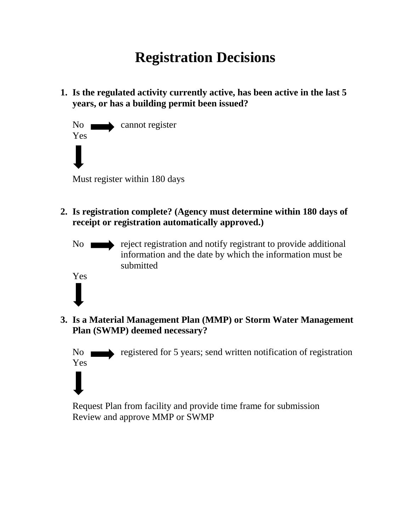# **Registration Decisions**

**1. Is the regulated activity currently active, has been active in the last 5 years, or has a building permit been issued?**

No cannot register Yes Must register within 180 days

Yes

Yes

- **2. Is registration complete? (Agency must determine within 180 days of receipt or registration automatically approved.)** 
	- No reject registration and notify registrant to provide additional information and the date by which the information must be submitted
- **3. Is a Material Management Plan (MMP) or Storm Water Management Plan (SWMP) deemed necessary?**

No registered for 5 years; send written notification of registration

Request Plan from facility and provide time frame for submission Review and approve MMP or SWMP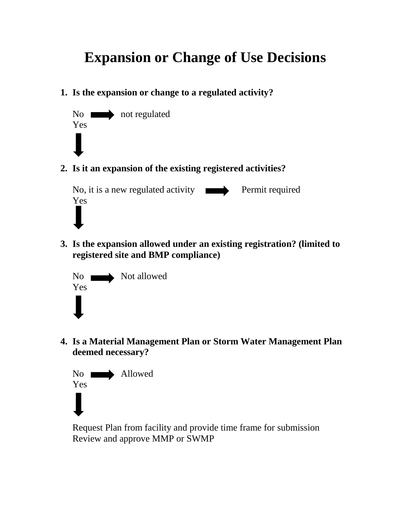## **Expansion or Change of Use Decisions**

**1. Is the expansion or change to a regulated activity?**



**2. Is it an expansion of the existing registered activities?**

No, it is a new regulated activity **Permit required** Yes

**3. Is the expansion allowed under an existing registration? (limited to registered site and BMP compliance)**



**4. Is a Material Management Plan or Storm Water Management Plan deemed necessary?**



Request Plan from facility and provide time frame for submission Review and approve MMP or SWMP